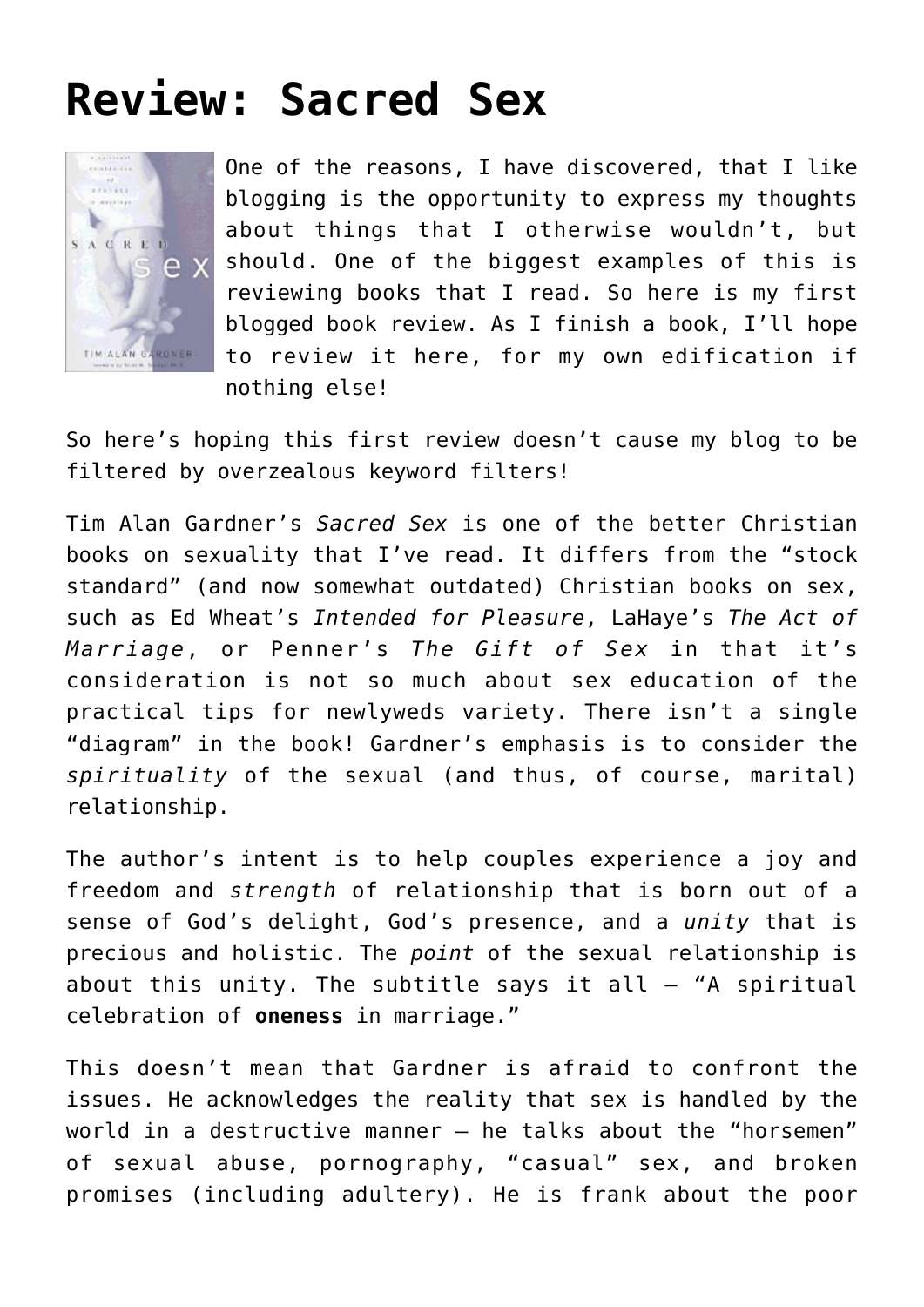## **[Review: Sacred Sex](https://briggs.id.au/jour/2008/04/sacred-sex-review/)**



One of the reasons, I have discovered, that I like blogging is the opportunity to express my thoughts about things that I otherwise wouldn't, but should. One of the biggest examples of this is reviewing books that I read. So here is my first blogged book review. As I finish a book, I'll hope to review it here, for my own edification if nothing else!

So here's hoping this first review doesn't cause my blog to be filtered by overzealous keyword filters!

Tim Alan Gardner's *[Sacred Sex](http://orders.koorong.com/search/details.jhtml?code=1578564611)* is one of the better Christian books on sexuality that I've read. It differs from the "stock standard" (and now somewhat outdated) Christian books on sex, such as Ed Wheat's *[Intended for Pleasure](http://orders.koorong.com/search/details.jhtml?code=1859994695)*, LaHaye's *[The Act of](http://orders.koorong.com/search/details.jhtml?code=0310212006) [Marriage](http://orders.koorong.com/search/details.jhtml?code=0310212006)*, or Penner's *[The Gift of Sex](http://orders.koorong.com/search/details.jhtml?code=0849944155)* in that it's consideration is not so much about sex education of the practical tips for newlyweds variety. There isn't a single "diagram" in the book! Gardner's emphasis is to consider the *spirituality* of the sexual (and thus, of course, marital) relationship.

The author's intent is to help couples experience a joy and freedom and *strength* of relationship that is born out of a sense of God's delight, God's presence, and a *unity* that is precious and holistic. The *point* of the sexual relationship is about this unity. The subtitle says it all  $-$  "A spiritual celebration of **oneness** in marriage."

This doesn't mean that Gardner is afraid to confront the issues. He acknowledges the reality that sex is handled by the world in a destructive manner – he talks about the "horsemen" of sexual abuse, pornography, "casual" sex, and broken promises (including adultery). He is frank about the poor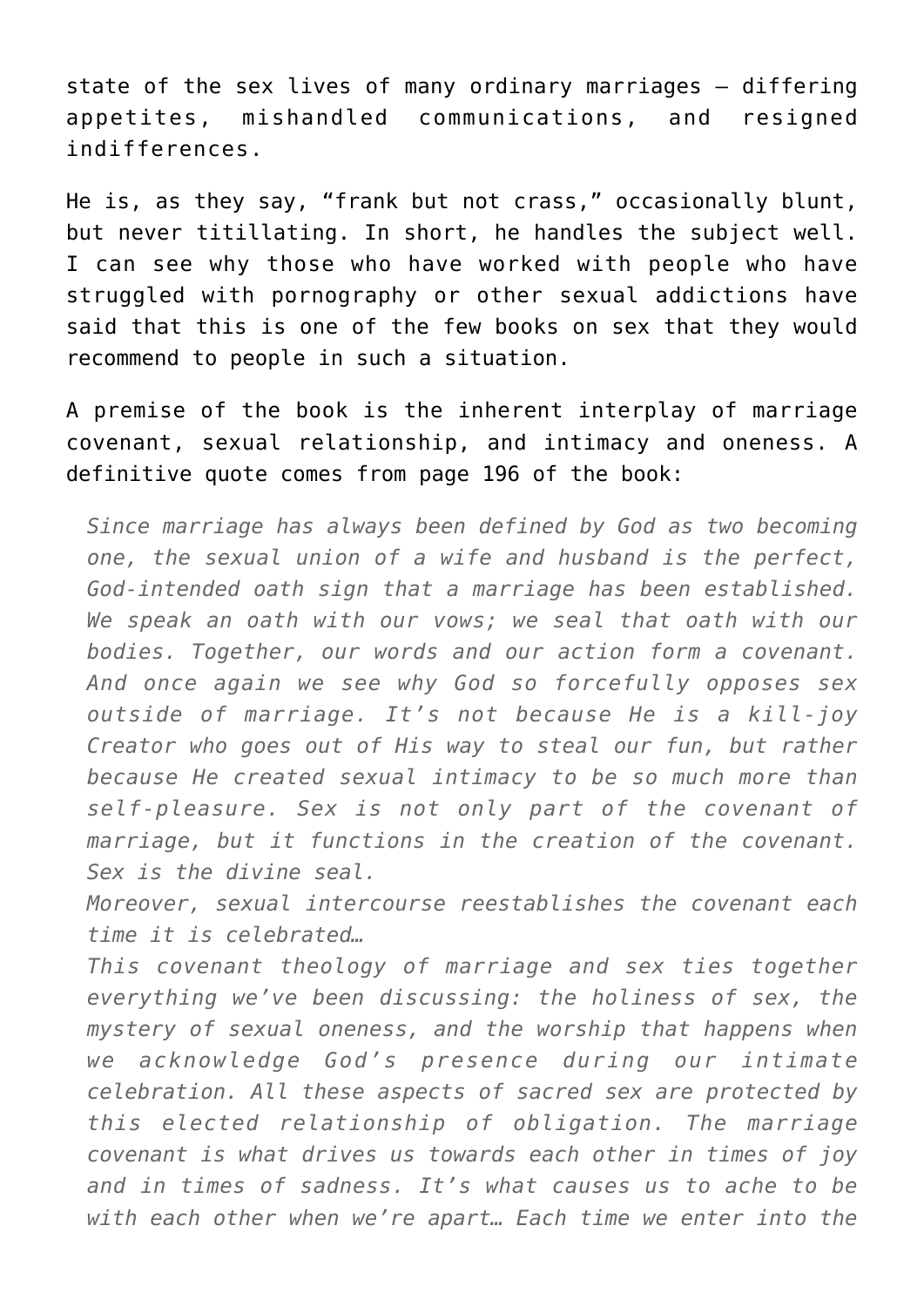state of the sex lives of many ordinary marriages – differing appetites, mishandled communications, and resigned indifferences.

He is, as they say, "frank but not crass," occasionally blunt, but never titillating. In short, he handles the subject well. I can see why those who have worked with people who have struggled with pornography or other sexual addictions have said that this is one of the few books on sex that they would recommend to people in such a situation.

A premise of the book is the inherent interplay of marriage covenant, sexual relationship, and intimacy and oneness. A definitive quote comes from page 196 of the book:

*Since marriage has always been defined by God as two becoming one, the sexual union of a wife and husband is the perfect, God-intended oath sign that a marriage has been established. We speak an oath with our vows; we seal that oath with our bodies. Together, our words and our action form a covenant. And once again we see why God so forcefully opposes sex outside of marriage. It's not because He is a kill-joy Creator who goes out of His way to steal our fun, but rather because He created sexual intimacy to be so much more than self-pleasure. Sex is not only part of the covenant of marriage, but it functions in the creation of the covenant. Sex is the divine seal.*

*Moreover, sexual intercourse reestablishes the covenant each time it is celebrated…*

*This covenant theology of marriage and sex ties together everything we've been discussing: the holiness of sex, the mystery of sexual oneness, and the worship that happens when we acknowledge God's presence during our intimate celebration. All these aspects of sacred sex are protected by this elected relationship of obligation. The marriage covenant is what drives us towards each other in times of joy and in times of sadness. It's what causes us to ache to be with each other when we're apart… Each time we enter into the*